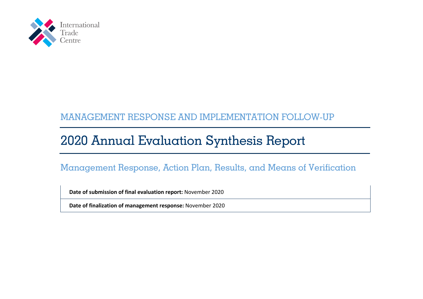

# MANAGEMENT RESPONSE AND IMPLEMENTATION FOLLOW-UP

# 2020 Annual Evaluation Synthesis Report

## Management Response, Action Plan, Results, and Means of Verification

**Date of submission of final evaluation report:** November 2020

**Date of finalization of management response:** November 2020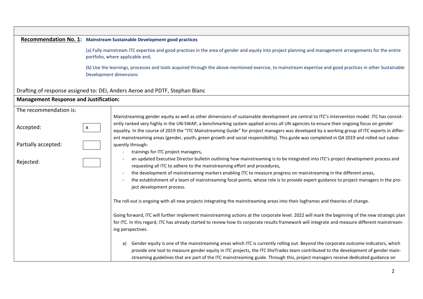### **Recommendation No. 1: Mainstream Sustainable Development good practices** (a) Fully mainstream ITC expertise and good practices in the area of gender and equity into project planning and management arrangements for the entire portfolio, where applicable and, (b) Use the learnings, processes and tools acquired through the above-mentioned exercise, to mainstream expertise and good practices in other Sustainable Development dimensions Drafting of response assigned to: DEI, Anders Aeroe and PDTF, Stephan Blanc **Management Response and Justification:** The recommendation is: Mainstreaming gender equity as well as other dimensions of sustainable development are central to ITC's intervention model. ITC has consistently ranked very highly in the UN-SWAP, a benchmarking system applied across all UN agencies to ensure their ongoing focus on gender equality. In the course of 2019 the "ITC Mainstreaming Guide" for project managers was developed by a working group of ITC experts in different mainstreaming areas (gender, youth, green growth and social responsibility). This guide was completed in Q4 2019 and rolled out subsequently through: - trainings for ITC project managers, an updated Executive Director bulletin outlining how mainstreaming is to be integrated into ITC's project development process and requesting all ITC to adhere to the mainstreaming effort and procedures, - the development of mainstreaming markers enabling ITC to measure progress on mainstreaming in the different areas, - the establishment of a team of mainstreaming focal points, whose role is to provide expert guidance to project managers in the project development process. The roll-out is ongoing with all new projects integrating the mainstreaming areas into their logframes and theories of change. Going forward, ITC will further implement mainstreaming actions at the corporate level. 2022 will mark the beginning of the new strategic plan for ITC. In this regard, ITC has already started to review how its corporate results framework will integrate and measure different mainstreaming perspectives. a) Gender equity is one of the mainstreaming areas which ITC is currently rolling out. Beyond the corporate outcome indicators, which provide one tool to measure gender equity in ITC projects, the ITC SheTrades team contributed to the development of gender mainstreaming guidelines that are part of the ITC mainstreaming guide. Through this, project managers receive dedicated guidance on Accepted: x Partially accepted: Rejected: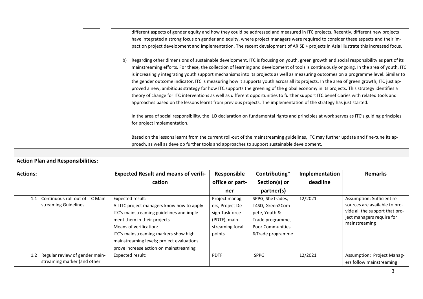| different aspects of gender equity and how they could be addressed and measured in ITC projects. Recently, different new projects                                                                                                                                                                                                                                                                                                                                                                                                                                                                                                                                                                                                                                                                                                                                                                                                                                                    |
|--------------------------------------------------------------------------------------------------------------------------------------------------------------------------------------------------------------------------------------------------------------------------------------------------------------------------------------------------------------------------------------------------------------------------------------------------------------------------------------------------------------------------------------------------------------------------------------------------------------------------------------------------------------------------------------------------------------------------------------------------------------------------------------------------------------------------------------------------------------------------------------------------------------------------------------------------------------------------------------|
| have integrated a strong focus on gender and equity, where project managers were required to consider these aspects and their im-                                                                                                                                                                                                                                                                                                                                                                                                                                                                                                                                                                                                                                                                                                                                                                                                                                                    |
| pact on project development and implementation. The recent development of ARISE + projects in Asia illustrate this increased focus.                                                                                                                                                                                                                                                                                                                                                                                                                                                                                                                                                                                                                                                                                                                                                                                                                                                  |
| Regarding other dimensions of sustainable development, ITC is focusing on youth, green growth and social responsibility as part of its<br>b)<br>mainstreaming efforts. For these, the collection of learning and development of tools is continuously ongoing. In the area of youth, ITC<br>is increasingly integrating youth support mechanisms into its projects as well as measuring outcomes on a programme level. Similar to<br>the gender outcome indicator, ITC is measuring how it supports youth across all its projects. In the area of green growth, ITC just ap-<br>proved a new, ambitious strategy for how ITC supports the greening of the global economy in its projects. This strategy identifies a<br>theory of change for ITC interventions as well as different opportunities to further support ITC beneficiaries with related tools and<br>approaches based on the lessons learnt from previous projects. The implementation of the strategy has just started. |
| In the area of social responsibility, the ILO declaration on fundamental rights and principles at work serves as ITC's guiding principles<br>for project implementation.                                                                                                                                                                                                                                                                                                                                                                                                                                                                                                                                                                                                                                                                                                                                                                                                             |
| Based on the lessons learnt from the current roll-out of the mainstreaming guidelines, ITC may further update and fine-tune its ap-<br>proach, as well as develop further tools and approaches to support sustainable development.                                                                                                                                                                                                                                                                                                                                                                                                                                                                                                                                                                                                                                                                                                                                                   |
|                                                                                                                                                                                                                                                                                                                                                                                                                                                                                                                                                                                                                                                                                                                                                                                                                                                                                                                                                                                      |

## **Action Plan and Responsibilities:**

| <b>Actions:</b>                                                      | <b>Expected Result and means of verifi-</b>                                                                                                                                                                                                                                                          | Responsible                                                                                        | Contributing*                                                                                                            | Implementation | <b>Remarks</b>                                                                                                                              |
|----------------------------------------------------------------------|------------------------------------------------------------------------------------------------------------------------------------------------------------------------------------------------------------------------------------------------------------------------------------------------------|----------------------------------------------------------------------------------------------------|--------------------------------------------------------------------------------------------------------------------------|----------------|---------------------------------------------------------------------------------------------------------------------------------------------|
|                                                                      | cation                                                                                                                                                                                                                                                                                               | office or part-                                                                                    | Section(s) or                                                                                                            | deadline       |                                                                                                                                             |
|                                                                      |                                                                                                                                                                                                                                                                                                      | ner                                                                                                | partner(s)                                                                                                               |                |                                                                                                                                             |
| Continuous roll-out of ITC Main-<br>streaming Guidelines             | Expected result:<br>All ITC project managers know how to apply<br>ITC's mainstreaming guidelines and imple-<br>ment them in their projects<br>Means of verification:<br>ITC's mainstreaming markers show high<br>mainstreaming levels; project evaluations<br>prove increase action on mainstreaming | Project manag-<br>ers, Project De-<br>sign Taskforce<br>(PDTF), main-<br>streaming focal<br>points | SPPG, SheTrades,<br>T4SD, Green2Com-<br>pete, Youth &<br>Trade programme,<br><b>Poor Communities</b><br>&Trade programme | 12/2021        | Assumption: Sufficient re-<br>sources are available to pro-<br>vide all the support that pro-<br>ject managers require for<br>mainstreaming |
| Regular review of gender main-<br>1.2<br>streaming marker (and other | Expected result:                                                                                                                                                                                                                                                                                     | <b>PDTF</b>                                                                                        | <b>SPPG</b>                                                                                                              | 12/2021        | Assumption: Project Manag-<br>ers follow mainstreaming                                                                                      |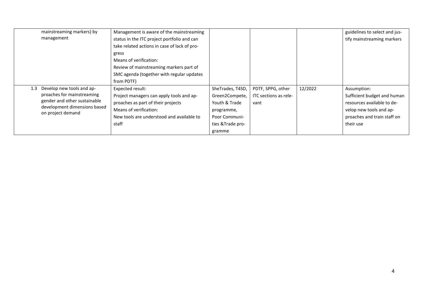| mainstreaming markers) by                         | Management is aware of the mainstreaming     |                   |                       |         | guidelines to select and jus- |
|---------------------------------------------------|----------------------------------------------|-------------------|-----------------------|---------|-------------------------------|
| management                                        | status in the ITC project portfolio and can  |                   |                       |         | tify mainstreaming markers    |
|                                                   | take related actions in case of lack of pro- |                   |                       |         |                               |
|                                                   | gress                                        |                   |                       |         |                               |
|                                                   | Means of verification:                       |                   |                       |         |                               |
|                                                   | Review of mainstreaming markers part of      |                   |                       |         |                               |
|                                                   | SMC agenda (together with regular updates    |                   |                       |         |                               |
|                                                   | from PDTF)                                   |                   |                       |         |                               |
| Develop new tools and ap-<br>1.3                  | Expected result:                             | SheTrades, T4SD,  | PDTF, SPPG, other     | 12/2022 | Assumption:                   |
| proaches for mainstreaming                        | Project managers can apply tools and ap-     | Green2Compete,    | ITC sections as rele- |         | Sufficient budget and human   |
| gender and other sustainable                      | proaches as part of their projects           | Youth & Trade     | vant                  |         | resources available to de-    |
| development dimensions based<br>on project demand | Means of verification:                       | programme,        |                       |         | velop new tools and ap-       |
|                                                   | New tools are understood and available to    | Poor Communi-     |                       |         | proaches and train staff on   |
|                                                   | staff                                        | ties & Trade pro- |                       |         | their use                     |
|                                                   |                                              | gramme            |                       |         |                               |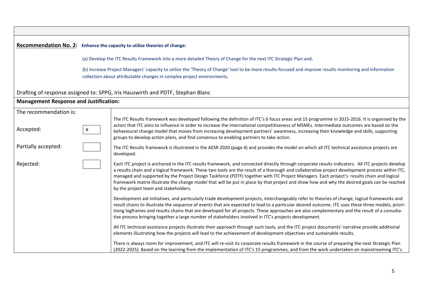#### **Recommendation No. 2: Enhance the capacity to utilize theories of change:**

(a) Develop the ITC Results Framework into a more detailed Theory of Change for the next ITC Strategic Plan and,

(b) Increase Project Managers' capacity to utilize the 'Theory of Change' tool to be more results-focused and improve results monitoring and information collection about attributable changes in complex project environments.

Drafting of response assigned to: SPPG, Iris Hauswirth and PDTF, Stephan Blanc

#### **Management Response and Justification:**

| The recommendation is: |              |                                                                                                                                                                                                                                                                                                                                                                                                                                                                                                                                                                                                                                           |
|------------------------|--------------|-------------------------------------------------------------------------------------------------------------------------------------------------------------------------------------------------------------------------------------------------------------------------------------------------------------------------------------------------------------------------------------------------------------------------------------------------------------------------------------------------------------------------------------------------------------------------------------------------------------------------------------------|
| Accepted:              | $\mathsf{X}$ | The ITC Results framework was developed following the definition of ITC's 6 focus areas and 15 programme in 2015-2016. It is organised by the<br>actors that ITC aims to influence in order to increase the international competitiveness of MSMEs. Intermediate outcomes are based on the<br>behavioural change model that moves from increasing development partners' awareness, increasing their knowledge and skills, supporting<br>groups to develop action plans, and find consensus to enabling partners to take action.                                                                                                           |
| Partially accepted:    |              | The ITC Results framework is illustrated in the AESR 2020 (page 4) and provides the model on which all ITC technical assistance projects are<br>developed.                                                                                                                                                                                                                                                                                                                                                                                                                                                                                |
| Rejected:              |              | Each ITC project is anchored in the ITC results framework, and connected directly through corporate results indicators. All ITC projects develop<br>a results chain and a logical framework. These two tools are the result of a thorough and collaborative project development process within ITC,<br>managed and supported by the Project Design Taskforce (PDTF) together with ITC Project Managers. Each project's results chain and logical<br>framework matrix illustrate the change model that will be put in place by that project and show how and why the desired goals can be reached<br>by the project team and stakeholders. |
|                        |              | Development aid initiatives, and particularly trade development projects, interchangeably refer to theories of change, logical frameworks and<br>result chains to illustrate the sequence of events that are expected to lead to a particular desired outcome. ITC uses these three models, priori-<br>tising logframes and results chains that are developed for all projects. These approaches are also complementary and the result of a consulta-<br>tive process bringing together a large number of stakeholders involved in ITC's projects development.                                                                            |
|                        |              | All ITC technical assistance projects illustrate their approach through such tools, and the ITC project documents' narrative provide additional<br>elements illustrating how the projects will lead to the achievement of development objectives and sustainable results.                                                                                                                                                                                                                                                                                                                                                                 |
|                        |              | There is always room for improvement, and ITC will re-visit its corporate results framework in the course of preparing the next Strategic Plan<br>(2022-2025). Based on the learning from the implementation of ITC's 15 programmes, and from the work undertaken on mainstreaming ITC's                                                                                                                                                                                                                                                                                                                                                  |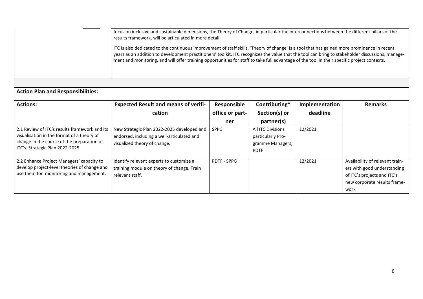|                                               | focus on inclusive and sustainable dimensions, the Theory of Change, in particular the interconnections between the different pillars of the<br>results framework, will be articulated in more detail.<br>ITC is also dedicated to the continuous improvement of staff skills. 'Theory of change' is a tool that has gained more prominence in recent<br>years as an addition to development practitioners' toolkit. ITC recognizes the value that the tool can bring to stakeholder discussions, manage-<br>ment and monitoring, and will offer training opportunities for staff to take full advantage of the tool in their specific project contexts. |                    |                          |                |                                 |  |  |
|-----------------------------------------------|----------------------------------------------------------------------------------------------------------------------------------------------------------------------------------------------------------------------------------------------------------------------------------------------------------------------------------------------------------------------------------------------------------------------------------------------------------------------------------------------------------------------------------------------------------------------------------------------------------------------------------------------------------|--------------------|--------------------------|----------------|---------------------------------|--|--|
| <b>Action Plan and Responsibilities:</b>      |                                                                                                                                                                                                                                                                                                                                                                                                                                                                                                                                                                                                                                                          |                    |                          |                |                                 |  |  |
|                                               |                                                                                                                                                                                                                                                                                                                                                                                                                                                                                                                                                                                                                                                          |                    |                          |                |                                 |  |  |
| <b>Actions:</b>                               | <b>Expected Result and means of verifi-</b>                                                                                                                                                                                                                                                                                                                                                                                                                                                                                                                                                                                                              | Responsible        | Contributing*            | Implementation | <b>Remarks</b>                  |  |  |
|                                               | cation                                                                                                                                                                                                                                                                                                                                                                                                                                                                                                                                                                                                                                                   | office or part-    | Section(s) or            | deadline       |                                 |  |  |
|                                               |                                                                                                                                                                                                                                                                                                                                                                                                                                                                                                                                                                                                                                                          | ner                | partner(s)               |                |                                 |  |  |
| 2.1 Review of ITC's results framework and its | New Strategic Plan 2022-2025 developed and                                                                                                                                                                                                                                                                                                                                                                                                                                                                                                                                                                                                               | <b>SPPG</b>        | <b>All ITC Divisions</b> | 12/2021        |                                 |  |  |
| visualisation in the format of a theory of    | endorsed, including a well-articulated and                                                                                                                                                                                                                                                                                                                                                                                                                                                                                                                                                                                                               |                    | particularly Pro-        |                |                                 |  |  |
| change in the course of the preparation of    | visualized theory of change.                                                                                                                                                                                                                                                                                                                                                                                                                                                                                                                                                                                                                             |                    | gramme Managers,         |                |                                 |  |  |
| ITC's Strategic Plan 2022-2025                |                                                                                                                                                                                                                                                                                                                                                                                                                                                                                                                                                                                                                                                          |                    | <b>PDTF</b>              |                |                                 |  |  |
| 2.2 Enhance Project Managers' capacity to     | Identify relevant experts to customize a                                                                                                                                                                                                                                                                                                                                                                                                                                                                                                                                                                                                                 | <b>PDTF - SPPG</b> |                          | 12/2021        | Availability of relevant train- |  |  |
| develop project-level theories of change and  | training module on theory of change. Train                                                                                                                                                                                                                                                                                                                                                                                                                                                                                                                                                                                                               |                    |                          |                | ers with good understanding     |  |  |
| use them for monitoring and management.       | relevant staff.                                                                                                                                                                                                                                                                                                                                                                                                                                                                                                                                                                                                                                          |                    |                          |                | of ITC's projects and ITC's     |  |  |
|                                               |                                                                                                                                                                                                                                                                                                                                                                                                                                                                                                                                                                                                                                                          |                    |                          |                | new corporate results frame-    |  |  |
|                                               |                                                                                                                                                                                                                                                                                                                                                                                                                                                                                                                                                                                                                                                          |                    |                          |                | work                            |  |  |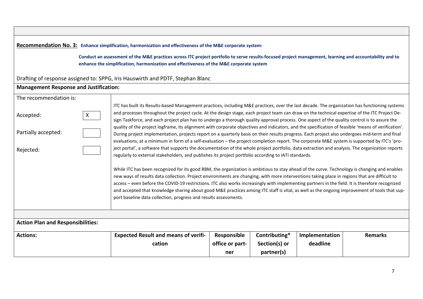| Recommendation No. 3: Enhance simplification, harmonization and effectiveness of the M&E corporate system:<br>Conduct an assessment of the M&E practices across ITC project portfolio to serve results-focused project management, learning and accountability and to<br>enhance the simplification, harmonization and effectiveness of the M&E corporate system |                                                                                                                                                                                                                                                                                                                                                                                                                                                                                                                                                                                                                                                                                                                                                                                                                                                                                                                                                                                                                                                                                                                                                                                                                                                                                                                                                                                                                                                                                                                                                                                                                                                                                                                                                                                                                                           |                                |                                |                            |                |  |  |
|------------------------------------------------------------------------------------------------------------------------------------------------------------------------------------------------------------------------------------------------------------------------------------------------------------------------------------------------------------------|-------------------------------------------------------------------------------------------------------------------------------------------------------------------------------------------------------------------------------------------------------------------------------------------------------------------------------------------------------------------------------------------------------------------------------------------------------------------------------------------------------------------------------------------------------------------------------------------------------------------------------------------------------------------------------------------------------------------------------------------------------------------------------------------------------------------------------------------------------------------------------------------------------------------------------------------------------------------------------------------------------------------------------------------------------------------------------------------------------------------------------------------------------------------------------------------------------------------------------------------------------------------------------------------------------------------------------------------------------------------------------------------------------------------------------------------------------------------------------------------------------------------------------------------------------------------------------------------------------------------------------------------------------------------------------------------------------------------------------------------------------------------------------------------------------------------------------------------|--------------------------------|--------------------------------|----------------------------|----------------|--|--|
| Drafting of response assigned to: SPPG, Iris Hauswirth and PDTF, Stephan Blanc                                                                                                                                                                                                                                                                                   |                                                                                                                                                                                                                                                                                                                                                                                                                                                                                                                                                                                                                                                                                                                                                                                                                                                                                                                                                                                                                                                                                                                                                                                                                                                                                                                                                                                                                                                                                                                                                                                                                                                                                                                                                                                                                                           |                                |                                |                            |                |  |  |
| <b>Management Response and Justification:</b>                                                                                                                                                                                                                                                                                                                    |                                                                                                                                                                                                                                                                                                                                                                                                                                                                                                                                                                                                                                                                                                                                                                                                                                                                                                                                                                                                                                                                                                                                                                                                                                                                                                                                                                                                                                                                                                                                                                                                                                                                                                                                                                                                                                           |                                |                                |                            |                |  |  |
| The recommendation is:<br>Accepted:<br>X<br>Partially accepted:<br>Rejected:                                                                                                                                                                                                                                                                                     | ITC has built its Results-based Management practices, including M&E practices, over the last decade. The organization has functioning systems<br>and processes throughout the project cycle. At the design stage, each project team can draw on the technical expertise of the ITC Project De-<br>sign Taskforce, and each project plan has to undergo a thorough quality approval process. One aspect of the quality control is to assure the<br>quality of the project logframe, its alignment with corporate objectives and indicators, and the specification of feasible 'means of verification'.<br>During project implementation, projects report on a quarterly basis on their results progress. Each project also undergoes mid-term and final<br>evaluations, at a minimum in form of a self-evaluation – the project completion report. The corporate M&E system is supported by ITC's 'pro-<br>ject portal', a software that supports the documentation of the whole project portfolio, data extraction and analysis. The organization reports<br>regularly to external stakeholders, and publishes its project portfolio according to IATI standards.<br>While ITC has been recognized for its good RBM, the organization is ambitious to stay ahead of the curve. Technology is changing and enables<br>new ways of results data collection. Project environments are changing, with more interventions taking place in regions that are difficult to<br>access - even before the COVID-19 restrictions. ITC also works increasingly with implementing partners in the field. It is therefore recognized<br>and accepted that knowledge sharing about good M&E practices among ITC staff is vital, as well as the ongoing improvement of tools that sup-<br>port baseline data collection, progress and results assessments. |                                |                                |                            |                |  |  |
|                                                                                                                                                                                                                                                                                                                                                                  |                                                                                                                                                                                                                                                                                                                                                                                                                                                                                                                                                                                                                                                                                                                                                                                                                                                                                                                                                                                                                                                                                                                                                                                                                                                                                                                                                                                                                                                                                                                                                                                                                                                                                                                                                                                                                                           |                                |                                |                            |                |  |  |
| <b>Action Plan and Responsibilities:</b>                                                                                                                                                                                                                                                                                                                         |                                                                                                                                                                                                                                                                                                                                                                                                                                                                                                                                                                                                                                                                                                                                                                                                                                                                                                                                                                                                                                                                                                                                                                                                                                                                                                                                                                                                                                                                                                                                                                                                                                                                                                                                                                                                                                           |                                |                                |                            |                |  |  |
| <b>Actions:</b>                                                                                                                                                                                                                                                                                                                                                  | <b>Expected Result and means of verifi-</b><br>cation                                                                                                                                                                                                                                                                                                                                                                                                                                                                                                                                                                                                                                                                                                                                                                                                                                                                                                                                                                                                                                                                                                                                                                                                                                                                                                                                                                                                                                                                                                                                                                                                                                                                                                                                                                                     | Responsible<br>office or part- | Contributing*<br>Section(s) or | Implementation<br>deadline | <b>Remarks</b> |  |  |
|                                                                                                                                                                                                                                                                                                                                                                  |                                                                                                                                                                                                                                                                                                                                                                                                                                                                                                                                                                                                                                                                                                                                                                                                                                                                                                                                                                                                                                                                                                                                                                                                                                                                                                                                                                                                                                                                                                                                                                                                                                                                                                                                                                                                                                           | ner                            | partner(s)                     |                            |                |  |  |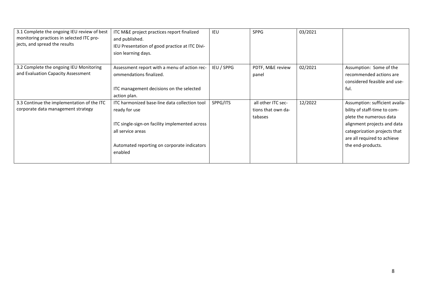| 3.1 Complete the ongoing IEU review of best<br>monitoring practices in selected ITC pro-<br>jects, and spread the results | ITC M&E project practices report finalized<br>and published.<br>IEU Presentation of good practice at ITC Divi-<br>sion learning days.                                                           | <b>IEU</b> | <b>SPPG</b>                                         | 03/2021 |                                                                                                                                                                                                              |
|---------------------------------------------------------------------------------------------------------------------------|-------------------------------------------------------------------------------------------------------------------------------------------------------------------------------------------------|------------|-----------------------------------------------------|---------|--------------------------------------------------------------------------------------------------------------------------------------------------------------------------------------------------------------|
| 3.2 Complete the ongoing IEU Monitoring<br>and Evaluation Capacity Assessment                                             | Assessment report with a menu of action rec-<br>ommendations finalized.<br>ITC management decisions on the selected<br>action plan.                                                             | IEU / SPPG | PDTF, M&E review<br>panel                           | 02/2021 | Assumption: Some of the<br>recommended actions are<br>considered feasible and use-<br>ful.                                                                                                                   |
| 3.3 Continue the implementation of the ITC<br>corporate data management strategy                                          | ITC harmonized base-line data collection tool<br>ready for use<br>ITC single-sign-on facility implemented across<br>all service areas<br>Automated reporting on corporate indicators<br>enabled | SPPG/ITS   | all other ITC sec-<br>tions that own da-<br>tabases | 12/2022 | Assumption: sufficient availa-<br>bility of staff-time to com-<br>plete the numerous data<br>alignment projects and data<br>categorization projects that<br>are all required to achieve<br>the end-products. |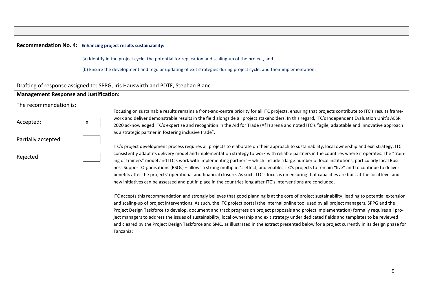|                                                                         | Recommendation No. 4: Enhancing project results sustainability:                                                                                                                                                                                                                                                                                                                                                                                                                                                                                                                                                                                                                                                                                                                                                                                                                                                                                                                                                                                                                                                                                                                                                                                                                                                                                                                                                |  |  |  |  |  |  |
|-------------------------------------------------------------------------|----------------------------------------------------------------------------------------------------------------------------------------------------------------------------------------------------------------------------------------------------------------------------------------------------------------------------------------------------------------------------------------------------------------------------------------------------------------------------------------------------------------------------------------------------------------------------------------------------------------------------------------------------------------------------------------------------------------------------------------------------------------------------------------------------------------------------------------------------------------------------------------------------------------------------------------------------------------------------------------------------------------------------------------------------------------------------------------------------------------------------------------------------------------------------------------------------------------------------------------------------------------------------------------------------------------------------------------------------------------------------------------------------------------|--|--|--|--|--|--|
|                                                                         | (a) Identify in the project cycle, the potential for replication and scaling-up of the project, and                                                                                                                                                                                                                                                                                                                                                                                                                                                                                                                                                                                                                                                                                                                                                                                                                                                                                                                                                                                                                                                                                                                                                                                                                                                                                                            |  |  |  |  |  |  |
|                                                                         | (b) Ensure the development and regular updating of exit strategies during project cycle, and their implementation.                                                                                                                                                                                                                                                                                                                                                                                                                                                                                                                                                                                                                                                                                                                                                                                                                                                                                                                                                                                                                                                                                                                                                                                                                                                                                             |  |  |  |  |  |  |
|                                                                         | Drafting of response assigned to: SPPG, Iris Hauswirth and PDTF, Stephan Blanc                                                                                                                                                                                                                                                                                                                                                                                                                                                                                                                                                                                                                                                                                                                                                                                                                                                                                                                                                                                                                                                                                                                                                                                                                                                                                                                                 |  |  |  |  |  |  |
| <b>Management Response and Justification:</b>                           |                                                                                                                                                                                                                                                                                                                                                                                                                                                                                                                                                                                                                                                                                                                                                                                                                                                                                                                                                                                                                                                                                                                                                                                                                                                                                                                                                                                                                |  |  |  |  |  |  |
| The recommendation is:<br>Accepted:<br>Partially accepted:<br>Rejected: | Focusing on sustainable results remains a front-and-centre priority for all ITC projects, ensuring that projects contribute to ITC's results frame-<br>work and deliver demonstrable results in the field alongside all project stakeholders. In this regard, ITC's Independent Evaluation Unit's AESR<br>X.<br>2020 acknowledged ITC's expertise and recognition in the Aid for Trade (AfT) arena and noted ITC's "agile, adaptable and innovative approach<br>as a strategic partner in fostering inclusive trade".<br>ITC's project development process requires all projects to elaborate on their approach to sustainability, local ownership and exit strategy. ITC<br>consistently adapt its delivery model and implementation strategy to work with reliable partners in the countries where it operates. The "train-<br>ing of trainers" model and ITC's work with implementing partners - which include a large number of local institutions, particularly local Busi-<br>ness Support Organisations (BSOs) - allows a strong multiplier's effect, and enables ITC's projects to remain "live" and to continue to deliver<br>benefits after the projects' operational and financial closure. As such, ITC's focus is on ensuring that capacities are built at the local level and<br>new initiatives can be assessed and put in place in the countries long after ITC's interventions are concluded. |  |  |  |  |  |  |
|                                                                         | ITC accepts this recommendation and strongly believes that good planning is at the core of project sustainability, leading to potential extension<br>and scaling-up of project interventions. As such, the ITC project portal (the internal online tool used by all project managers, SPPG and the<br>Project Design Taskforce to develop, document and track progress on project proposals and project implementation) formally requires all pro-<br>ject managers to address the issues of sustainability, local ownership and exit strategy under dedicated fields and templates to be reviewed<br>and cleared by the Project Design Taskforce and SMC, as illustrated in the extract presented below for a project currently in its design phase for<br>Tanzania:                                                                                                                                                                                                                                                                                                                                                                                                                                                                                                                                                                                                                                          |  |  |  |  |  |  |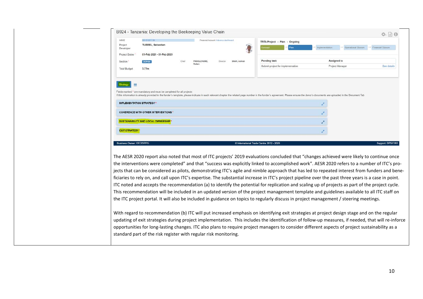| WBSE                            | SB-013617                                                                                                                                                                                                                      |       | Financial Account: Advance dashboard |          |              | TRTA Project - Plan - Ongoing            |      |                |                       |                     |
|---------------------------------|--------------------------------------------------------------------------------------------------------------------------------------------------------------------------------------------------------------------------------|-------|--------------------------------------|----------|--------------|------------------------------------------|------|----------------|-----------------------|---------------------|
| Project<br>Developer            | <b>TURREL, Sebastien</b>                                                                                                                                                                                                       |       |                                      |          |              |                                          | Plan | Implementation | · Operational Closure | - Financial Closure |
| Project Dates                   | 01-Feb 2021 - 01-Feb 2025                                                                                                                                                                                                      |       |                                      |          |              |                                          |      |                |                       |                     |
| Section *                       | <b>DCPIOA</b>                                                                                                                                                                                                                  | Chief | PHOOLCHUND                           | Director | SHAH, Ashish | <b>Pending task</b>                      |      | Assigned to    |                       |                     |
| <b>Total Budget</b>             | 3.77m                                                                                                                                                                                                                          |       | Ruben                                |          |              | Submit project for implementation        |      |                | Project Manager       | See details         |
|                                 |                                                                                                                                                                                                                                |       |                                      |          |              |                                          |      |                |                       |                     |
|                                 | Fields marked * are mandatory and must be completed for all projects                                                                                                                                                           |       |                                      |          |              |                                          |      |                |                       |                     |
|                                 | If this information is already provided in the funder's template, please indicate in each relevant chapter the related page number in the funder's agreement. Please ensure the donor's documents are uploaded in the Document |       |                                      |          |              |                                          |      |                |                       |                     |
| <b>IMPLEMENTATION STRATEGY*</b> |                                                                                                                                                                                                                                |       |                                      |          |              |                                          |      | v.             |                       |                     |
|                                 | <b>COHERENCE WITH OTHER INTERVENTIONS</b>                                                                                                                                                                                      |       |                                      |          |              |                                          |      |                |                       |                     |
|                                 | <b>SUSTAINABILITY AND LOCAL OWNERSHIP!</b>                                                                                                                                                                                     |       |                                      |          |              |                                          |      | ₽              |                       |                     |
|                                 |                                                                                                                                                                                                                                |       |                                      |          |              |                                          |      |                |                       |                     |
| <b>EXIT STRATEGY</b>            |                                                                                                                                                                                                                                |       |                                      |          |              |                                          |      | v.             |                       |                     |
|                                 |                                                                                                                                                                                                                                |       |                                      |          |              |                                          |      |                |                       |                     |
|                                 |                                                                                                                                                                                                                                |       |                                      |          |              |                                          |      |                |                       |                     |
| <b>Business Owner: OED/SPPG</b> |                                                                                                                                                                                                                                |       |                                      |          |              | C International Trade Centre 2012 - 2020 |      |                |                       |                     |
|                                 |                                                                                                                                                                                                                                |       |                                      |          |              |                                          |      |                |                       |                     |
|                                 | The AESR 2020 report also noted that most of ITC projects' 2019 evaluations concluded that "changes achieved were likely to continue once                                                                                      |       |                                      |          |              |                                          |      |                |                       | Support: DPS/IT&S   |
|                                 | the interventions were completed" and that "success was explicitly linked to accomplished work". AESR 2020 refers to a number of ITC's pro-                                                                                    |       |                                      |          |              |                                          |      |                |                       |                     |
|                                 | jects that can be considered as pilots, demonstrating ITC's agile and nimble approach that has led to repeated interest from funders and bene-                                                                                 |       |                                      |          |              |                                          |      |                |                       |                     |
|                                 | ficiaries to rely on, and call upon ITC's expertise. The substantial increase in ITC's project pipeline over the past three years is a case in point.                                                                          |       |                                      |          |              |                                          |      |                |                       |                     |
|                                 | ITC noted and accepts the recommendation (a) to identify the potential for replication and scaling up of projects as part of the project cycle.                                                                                |       |                                      |          |              |                                          |      |                |                       |                     |
|                                 | This recommendation will be included in an updated version of the project management template and guidelines available to all ITC staff on                                                                                     |       |                                      |          |              |                                          |      |                |                       |                     |
|                                 | the ITC project portal. It will also be included in guidance on topics to regularly discuss in project management / steering meetings.                                                                                         |       |                                      |          |              |                                          |      |                |                       |                     |
|                                 | With regard to recommendation (b) ITC will put increased emphasis on identifying exit strategies at project design stage and on the regular                                                                                    |       |                                      |          |              |                                          |      |                |                       |                     |
|                                 | updating of exit strategies during project implementation. This includes the identification of follow-up measures, if needed, that will re-inforce                                                                             |       |                                      |          |              |                                          |      |                |                       |                     |
|                                 | opportunities for long-lasting changes. ITC also plans to require project managers to consider different aspects of project sustainability as a                                                                                |       |                                      |          |              |                                          |      |                |                       |                     |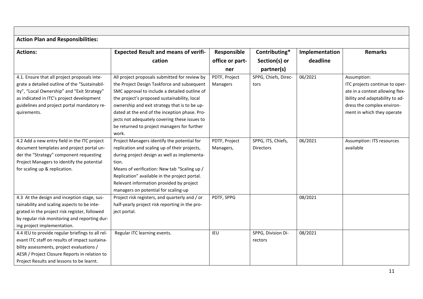| <b>Action Plan and Responsibilities:</b>         |                                                |                 |                      |                |                                  |
|--------------------------------------------------|------------------------------------------------|-----------------|----------------------|----------------|----------------------------------|
| <b>Actions:</b>                                  | <b>Expected Result and means of verifi-</b>    | Responsible     | Contributing*        | Implementation | <b>Remarks</b>                   |
|                                                  | cation                                         | office or part- | Section(s) or        | deadline       |                                  |
|                                                  |                                                | ner             | partner(s)           |                |                                  |
| 4.1. Ensure that all project proposals inte-     | All project proposals submitted for review by  | PDTF, Project   | SPPG, Chiefs, Direc- | 06/2021        | Assumption:                      |
| grate a detailed outline of the "Sustainabil-    | the Project Design Taskforce and subsequent    | Managers        | tors                 |                | ITC projects continue to oper-   |
| ity", "Local Ownership" and "Exit Strategy"      | SMC approval to include a detailed outline of  |                 |                      |                | ate in a context allowing flex-  |
| as indicated in ITC's project development        | the project's proposed sustainability, local   |                 |                      |                | ibility and adaptability to ad-  |
| guidelines and project portal mandatory re-      | ownership and exit strategy that is to be up-  |                 |                      |                | dress the complex environ-       |
| quirements.                                      | dated at the end of the inception phase. Pro-  |                 |                      |                | ment in which they operate       |
|                                                  | jects not adequately covering these issues to  |                 |                      |                |                                  |
|                                                  | be returned to project managers for further    |                 |                      |                |                                  |
|                                                  | work.                                          |                 |                      |                |                                  |
| 4.2 Add a new entry field in the ITC project     | Project Managers identify the potential for    | PDTF, Project   | SPPG, ITS, Chiefs,   | 06/2021        | <b>Assumption: ITS resources</b> |
| document templates and project portal un-        | replication and scaling up of their projects,  | Managers,       | <b>Directors</b>     |                | available                        |
| der the "Strategy" component requesting          | during project design as well as implementa-   |                 |                      |                |                                  |
| Project Managers to identify the potential       | tion.                                          |                 |                      |                |                                  |
| for scaling up & replication.                    | Means of verification: New tab "Scaling up /   |                 |                      |                |                                  |
|                                                  | Replication" available in the project portal.  |                 |                      |                |                                  |
|                                                  | Relevant information provided by project       |                 |                      |                |                                  |
|                                                  | managers on potential for scaling-up           |                 |                      |                |                                  |
| 4.3 At the design and inception stage, sus-      | Project risk registers, and quarterly and / or | PDTF, SPPG      |                      | 08/2021        |                                  |
| tainability and scaling aspects to be inte-      | half-yearly project risk reporting in the pro- |                 |                      |                |                                  |
| grated in the project risk register, followed    | ject portal.                                   |                 |                      |                |                                  |
| by regular risk monitoring and reporting dur-    |                                                |                 |                      |                |                                  |
| ing project implementation.                      |                                                |                 |                      |                |                                  |
| 4.4 IEU to provide regular briefings to all rel- | Regular ITC learning events.                   | IEU             | SPPG, Division Di-   | 08/2021        |                                  |
| evant ITC staff on results of impact sustaina-   |                                                |                 | rectors              |                |                                  |
| bility assessments, project evaluations /        |                                                |                 |                      |                |                                  |
| AESR / Project Closure Reports in relation to    |                                                |                 |                      |                |                                  |
| Project Results and lessons to be learnt.        |                                                |                 |                      |                |                                  |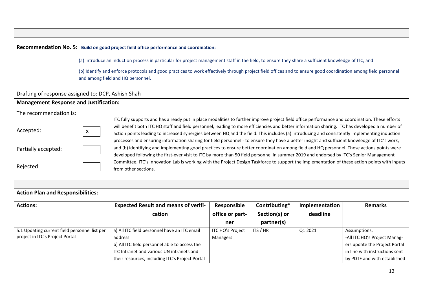#### **Recommendation No. 5: Build on good project field office performance and coordination:**

(a) Introduce an induction process in particular for project management staff in the field, to ensure they share a sufficient knowledge of ITC, and

(b) Identify and enforce protocols and good practices to work effectively through project field offices and to ensure good coordination among field personnel and among field and HQ personnel.

#### Drafting of response assigned to: DCP, Ashish Shah

#### **Management Response and Justification:**

| The recommendation is: |                                                                                                                                                |
|------------------------|------------------------------------------------------------------------------------------------------------------------------------------------|
|                        | ITC fully supports and has already put in place modalities to further improve project field office performance and coordination. These efforts |
| Accepted:              | will benefit both ITC HQ staff and field personnel, leading to more efficiencies and better information sharing. ITC has developed a number of |
|                        | action points leading to increased synergies between HQ and the field. This includes (a) introducing and consistently implementing induction   |
|                        | processes and ensuring information sharing for field personnel - to ensure they have a better insight and sufficient knowledge of ITC's work,  |
| Partially accepted:    | and (b) identifying and implementing good practices to ensure better coordination among field and HQ personnel. These actions points were      |
|                        | developed following the first-ever visit to ITC by more than 50 field personnel in summer 2019 and endorsed by ITC's Senior Management         |
|                        | Committee. ITC's Innovation Lab is working with the Project Design Taskforce to support the implementation of these action points with inputs  |
| Rejected:              | from other sections.                                                                                                                           |
|                        |                                                                                                                                                |

#### **Action Plan and Responsibilities:**

| <b>Actions:</b>                               | <b>Expected Result and means of verifi-</b>     | Responsible      | Contributing* | Implementation | <b>Remarks</b>                 |
|-----------------------------------------------|-------------------------------------------------|------------------|---------------|----------------|--------------------------------|
|                                               | cation                                          | office or part-  | Section(s) or | deadline       |                                |
|                                               |                                                 | ner              | partner(s)    |                |                                |
| 5.1 Updating current field personnel list per | a) All ITC field personnel have an ITC email    | ITC HQ's Project | ITS / HR      | Q1 2021        | Assumptions:                   |
| project in ITC's Project Portal               | address                                         | Managers         |               |                | -All ITC HQ's Project Manag-   |
|                                               | b) All ITC field personnel able to access the   |                  |               |                | ers update the Project Portal  |
|                                               | ITC Intranet and various UN intranets and       |                  |               |                | in line with instructions sent |
|                                               | their resources, including ITC's Project Portal |                  |               |                | by PDTF and with established   |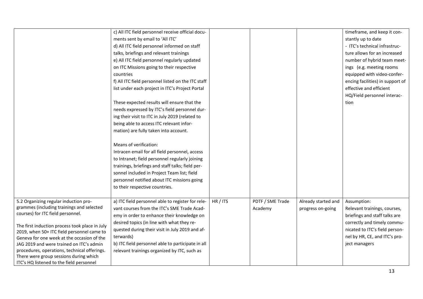|                                                | c) All ITC field personnel receive official docu-  |          |                  |                     | timeframe, and keep it con-      |
|------------------------------------------------|----------------------------------------------------|----------|------------------|---------------------|----------------------------------|
|                                                | ments sent by email to 'All ITC'                   |          |                  |                     | stantly up to date               |
|                                                | d) All ITC field personnel informed on staff       |          |                  |                     | - ITC's technical infrastruc-    |
|                                                | talks, briefings and relevant trainings            |          |                  |                     | ture allows for an increased     |
|                                                | e) All ITC field personnel regularly updated       |          |                  |                     | number of hybrid team meet-      |
|                                                | on ITC Missions going to their respective          |          |                  |                     | ings (e.g. meeting rooms         |
|                                                | countries                                          |          |                  |                     | equipped with video-confer-      |
|                                                | f) All ITC field personnel listed on the ITC staff |          |                  |                     | encing facilities) in support of |
|                                                | list under each project in ITC's Project Portal    |          |                  |                     | effective and efficient          |
|                                                |                                                    |          |                  |                     | HQ/Field personnel interac-      |
|                                                | These expected results will ensure that the        |          |                  |                     | tion                             |
|                                                | needs expressed by ITC's field personnel dur-      |          |                  |                     |                                  |
|                                                | ing their visit to ITC in July 2019 (related to    |          |                  |                     |                                  |
|                                                | being able to access ITC relevant infor-           |          |                  |                     |                                  |
|                                                | mation) are fully taken into account.              |          |                  |                     |                                  |
|                                                |                                                    |          |                  |                     |                                  |
|                                                | Means of verification:                             |          |                  |                     |                                  |
|                                                | Intracen email for all field personnel, access     |          |                  |                     |                                  |
|                                                | to Intranet; field personnel regularly joining     |          |                  |                     |                                  |
|                                                | trainings, briefings and staff talks; field per-   |          |                  |                     |                                  |
|                                                | sonnel included in Project Team list; field        |          |                  |                     |                                  |
|                                                | personnel notified about ITC missions going        |          |                  |                     |                                  |
|                                                | to their respective countries.                     |          |                  |                     |                                  |
|                                                |                                                    |          |                  |                     |                                  |
| 5.2 Organizing regular induction pro-          | a) ITC field personnel able to register for rele-  | HR / ITS | PDTF / SME Trade | Already started and | Assumption:                      |
| grammes (including trainings and selected      | vant courses from the ITC's SME Trade Acad-        |          | Academy          | progress on-going   | Relevant trainings, courses,     |
| courses) for ITC field personnel.              | emy in order to enhance their knowledge on         |          |                  |                     | briefings and staff talks are    |
| The first induction process took place in July | desired topics (in line with what they re-         |          |                  |                     | correctly and timely commu-      |
| 2019, when 50+ ITC field personnel came to     | quested during their visit in July 2019 and af-    |          |                  |                     | nicated to ITC's field person-   |
| Geneva for one week at the occasion of the     | terwards)                                          |          |                  |                     | nel by HR, CE, and ITC's pro-    |
| JAG 2019 and were trained on ITC's admin       | b) ITC field personnel able to participate in all  |          |                  |                     | ject managers                    |
| procedures, operations, technical offerings.   | relevant trainings organized by ITC, such as       |          |                  |                     |                                  |
| There were group sessions during which         |                                                    |          |                  |                     |                                  |
| ITC's HQ listened to the field personnel       |                                                    |          |                  |                     |                                  |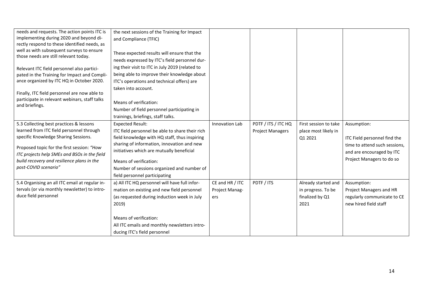| needs and requests. The action points ITC is                                       | the next sessions of the Training for Impact    |                 |                         |                       |                               |
|------------------------------------------------------------------------------------|-------------------------------------------------|-----------------|-------------------------|-----------------------|-------------------------------|
| implementing during 2020 and beyond di-                                            | and Compliance (TFIC)                           |                 |                         |                       |                               |
| rectly respond to these identified needs, as                                       |                                                 |                 |                         |                       |                               |
| well as with subsequent surveys to ensure<br>those needs are still relevant today. | These expected results will ensure that the     |                 |                         |                       |                               |
|                                                                                    | needs expressed by ITC's field personnel dur-   |                 |                         |                       |                               |
| Relevant ITC field personnel also partici-                                         | ing their visit to ITC in July 2019 (related to |                 |                         |                       |                               |
| pated in the Training for Impact and Compli-                                       | being able to improve their knowledge about     |                 |                         |                       |                               |
| ance organized by ITC HQ in October 2020.                                          | ITC's operations and technical offers) are      |                 |                         |                       |                               |
|                                                                                    | taken into account.                             |                 |                         |                       |                               |
| Finally, ITC field personnel are now able to                                       |                                                 |                 |                         |                       |                               |
| participate in relevant webinars, staff talks                                      | Means of verification:                          |                 |                         |                       |                               |
| and briefings.                                                                     | Number of field personnel participating in      |                 |                         |                       |                               |
|                                                                                    | trainings, briefings, staff talks.              |                 |                         |                       |                               |
| 5.3 Collecting best practices & lessons                                            | <b>Expected Result:</b>                         | Innovation Lab  | PDTF / ITS / ITC HQ     | First session to take | Assumption:                   |
| learned from ITC field personnel through                                           |                                                 |                 |                         |                       |                               |
| specific Knowledge Sharing Sessions.                                               | ITC field personnel be able to share their rich |                 | <b>Project Managers</b> | place most likely in  |                               |
|                                                                                    | field knowledge with HQ staff, thus inspiring   |                 |                         | Q1 2021               | ITC Field personnel find the  |
| Proposed topic for the first session: "How                                         | sharing of information, innovation and new      |                 |                         |                       | time to attend such sessions, |
| ITC projects help SMEs and BSOs in the field                                       | initiatives which are mutually beneficial       |                 |                         |                       | and are encouraged by ITC     |
| build recovery and resilience plans in the                                         | Means of verification:                          |                 |                         |                       | Project Managers to do so     |
| post-COVID scenario"                                                               | Number of sessions organized and number of      |                 |                         |                       |                               |
|                                                                                    | field personnel participating                   |                 |                         |                       |                               |
| 5.4 Organising an all ITC email at regular in-                                     | a) All ITC HQ personnel will have full infor-   | CE and HR / ITC | PDTF / ITS              | Already started and   | Assumption:                   |
| tervals (or via monthly newsletter) to intro-                                      | mation on existing and new field personnel      | Project Manag-  |                         | in progress. To be    | Project Managers and HR       |
| duce field personnel                                                               | (as requested during induction week in July     | ers             |                         | finalized by Q1       | regularly communicate to CE   |
|                                                                                    |                                                 |                 |                         |                       |                               |
|                                                                                    | 2019)                                           |                 |                         | 2021                  | new hired field staff         |
|                                                                                    |                                                 |                 |                         |                       |                               |
|                                                                                    | Means of verification:                          |                 |                         |                       |                               |
|                                                                                    | All ITC emails and monthly newsletters intro-   |                 |                         |                       |                               |
|                                                                                    | ducing ITC's field personnel                    |                 |                         |                       |                               |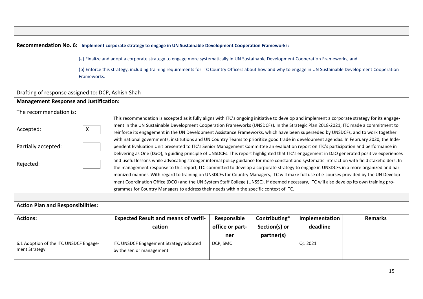#### **Recommendation No. 6: Implement corporate strategy to engage in UN Sustainable Development Cooperation Frameworks:**

(a) Finalize and adopt a corporate strategy to engage more systematically in UN Sustainable Development Cooperation Frameworks, and

(b) Enforce this strategy, including training requirements for ITC Country Officers about how and why to engage in UN Sustainable Development Cooperation Frameworks.

#### Drafting of response assigned to: DCP, Ashish Shah

#### **Management Response and Justification:**

| The recommendation is:                   |                                                                                                                                          |                                                                                                                                                |                 |               |                |                |  |  |
|------------------------------------------|------------------------------------------------------------------------------------------------------------------------------------------|------------------------------------------------------------------------------------------------------------------------------------------------|-----------------|---------------|----------------|----------------|--|--|
|                                          |                                                                                                                                          | This recommendation is accepted as it fully aligns with ITC's ongoing initiative to develop and implement a corporate strategy for its engage- |                 |               |                |                |  |  |
| $\mathsf{X}$<br>Accepted:                | ment in the UN Sustainable Development Cooperation Frameworks (UNSDCFs). In the Strategic Plan 2018-2021, ITC made a commitment to       |                                                                                                                                                |                 |               |                |                |  |  |
|                                          | reinforce its engagement in the UN Development Assistance Frameworks, which have been superseded by UNSDCFs, and to work together        |                                                                                                                                                |                 |               |                |                |  |  |
|                                          |                                                                                                                                          | with national governments, institutions and UN Country Teams to prioritize good trade in development agendas. In February 2020, the Inde-      |                 |               |                |                |  |  |
| Partially accepted:                      | pendent Evaluation Unit presented to ITC's Senior Management Committee an evaluation report on ITC's participation and performance in    |                                                                                                                                                |                 |               |                |                |  |  |
|                                          |                                                                                                                                          | Delivering as One (DaO), a guiding principle of UNSDCFs. This report highlighted that ITC's engagement in DaO generated positive experiences   |                 |               |                |                |  |  |
|                                          |                                                                                                                                          | and useful lessons while advocating stronger internal policy guidance for more constant and systematic interaction with field stakeholders. In |                 |               |                |                |  |  |
| Rejected:                                |                                                                                                                                          | the management response to this report, ITC committed to develop a corporate strategy to engage in UNSDCFs in a more organized and har-        |                 |               |                |                |  |  |
|                                          | monized manner. With regard to training on UNSDCFs for Country Managers, ITC will make full use of e-courses provided by the UN Develop- |                                                                                                                                                |                 |               |                |                |  |  |
|                                          | ment Coordination Office (DCO) and the UN System Staff College (UNSSC). If deemed necessary, ITC will also develop its own training pro- |                                                                                                                                                |                 |               |                |                |  |  |
|                                          |                                                                                                                                          | grammes for Country Managers to address their needs within the specific context of ITC.                                                        |                 |               |                |                |  |  |
|                                          |                                                                                                                                          |                                                                                                                                                |                 |               |                |                |  |  |
| <b>Action Plan and Responsibilities:</b> |                                                                                                                                          |                                                                                                                                                |                 |               |                |                |  |  |
| <b>Actions:</b>                          |                                                                                                                                          | <b>Expected Result and means of verifi-</b>                                                                                                    | Responsible     | Contributing* | Implementation | <b>Remarks</b> |  |  |
|                                          |                                                                                                                                          | cation                                                                                                                                         | office or part- | Section(s) or | deadline       |                |  |  |
|                                          |                                                                                                                                          |                                                                                                                                                | ner             | partner(s)    |                |                |  |  |
| 6.1 Adoption of the ITC UNSDCF Engage-   |                                                                                                                                          | <b>ITC UNSDCF Engagement Strategy adopted</b>                                                                                                  | DCP, SMC        |               | Q1 2021        |                |  |  |
| ment Strategy                            |                                                                                                                                          | by the senior management                                                                                                                       |                 |               |                |                |  |  |
|                                          |                                                                                                                                          |                                                                                                                                                |                 |               |                |                |  |  |